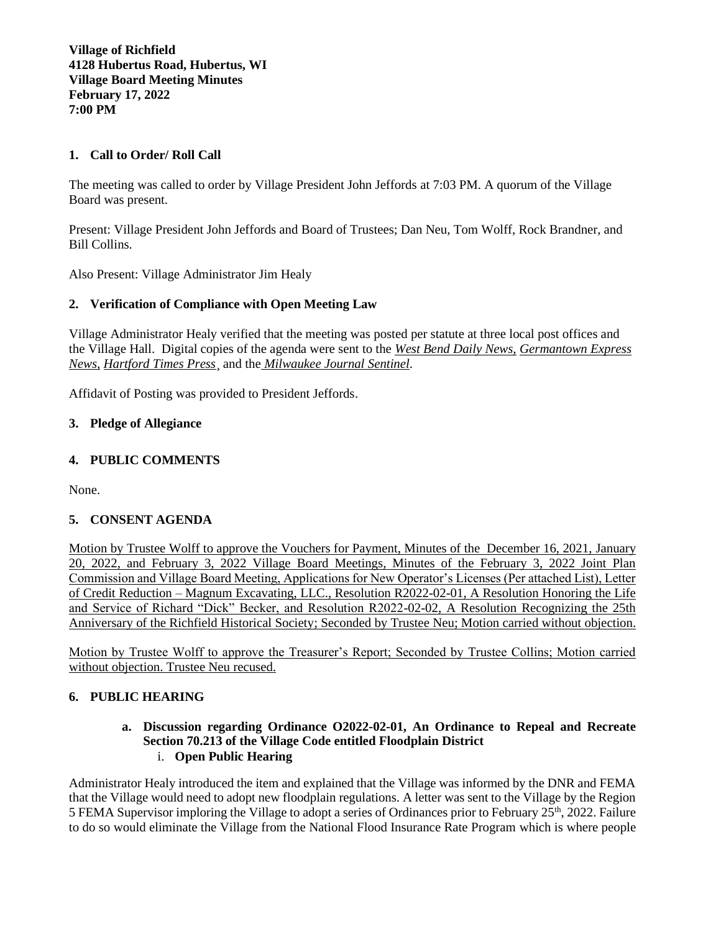**Village of Richfield 4128 Hubertus Road, Hubertus, WI Village Board Meeting Minutes February 17, 2022 7:00 PM**

## **1. Call to Order/ Roll Call**

The meeting was called to order by Village President John Jeffords at 7:03 PM. A quorum of the Village Board was present.

Present: Village President John Jeffords and Board of Trustees; Dan Neu, Tom Wolff, Rock Brandner, and Bill Collins.

Also Present: Village Administrator Jim Healy

### **2. Verification of Compliance with Open Meeting Law**

Village Administrator Healy verified that the meeting was posted per statute at three local post offices and the Village Hall. Digital copies of the agenda were sent to the *West Bend Daily News, Germantown Express News, Hartford Times Press*¸ and the *Milwaukee Journal Sentinel*.

Affidavit of Posting was provided to President Jeffords.

#### **3. Pledge of Allegiance**

## **4. PUBLIC COMMENTS**

None.

### **5. CONSENT AGENDA**

Motion by Trustee Wolff to approve the Vouchers for Payment, Minutes of the December 16, 2021, January 20, 2022, and February 3, 2022 Village Board Meetings, Minutes of the February 3, 2022 Joint Plan Commission and Village Board Meeting, Applications for New Operator's Licenses (Per attached List), Letter of Credit Reduction – Magnum Excavating, LLC., Resolution R2022-02-01, A Resolution Honoring the Life and Service of Richard "Dick" Becker, and Resolution R2022-02-02, A Resolution Recognizing the 25th Anniversary of the Richfield Historical Society; Seconded by Trustee Neu; Motion carried without objection.

Motion by Trustee Wolff to approve the Treasurer's Report; Seconded by Trustee Collins; Motion carried without objection. Trustee Neu recused.

### **6. PUBLIC HEARING**

#### **a. Discussion regarding Ordinance O2022-02-01, An Ordinance to Repeal and Recreate Section 70.213 of the Village Code entitled Floodplain District** i. **Open Public Hearing**

Administrator Healy introduced the item and explained that the Village was informed by the DNR and FEMA that the Village would need to adopt new floodplain regulations. A letter was sent to the Village by the Region 5 FEMA Supervisor imploring the Village to adopt a series of Ordinances prior to February 25th, 2022. Failure to do so would eliminate the Village from the National Flood Insurance Rate Program which is where people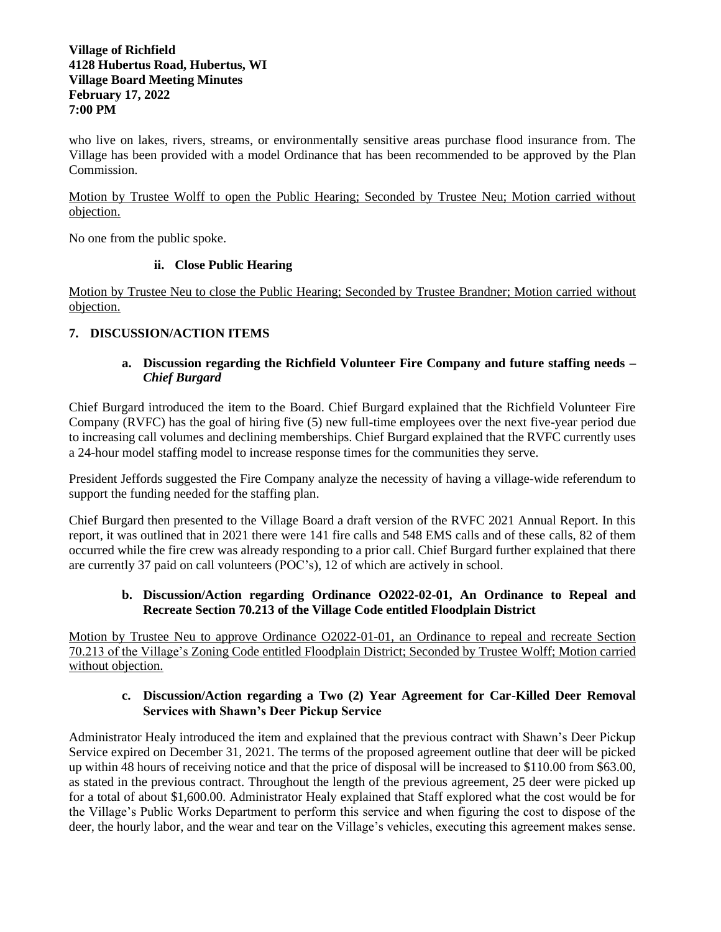### **Village of Richfield 4128 Hubertus Road, Hubertus, WI Village Board Meeting Minutes February 17, 2022 7:00 PM**

who live on lakes, rivers, streams, or environmentally sensitive areas purchase flood insurance from. The Village has been provided with a model Ordinance that has been recommended to be approved by the Plan Commission.

Motion by Trustee Wolff to open the Public Hearing; Seconded by Trustee Neu; Motion carried without objection.

No one from the public spoke.

## **ii. Close Public Hearing**

Motion by Trustee Neu to close the Public Hearing; Seconded by Trustee Brandner; Motion carried without objection.

# **7. DISCUSSION/ACTION ITEMS**

## **a. Discussion regarding the Richfield Volunteer Fire Company and future staffing needs –** *Chief Burgard*

Chief Burgard introduced the item to the Board. Chief Burgard explained that the Richfield Volunteer Fire Company (RVFC) has the goal of hiring five (5) new full-time employees over the next five-year period due to increasing call volumes and declining memberships. Chief Burgard explained that the RVFC currently uses a 24-hour model staffing model to increase response times for the communities they serve.

President Jeffords suggested the Fire Company analyze the necessity of having a village-wide referendum to support the funding needed for the staffing plan.

Chief Burgard then presented to the Village Board a draft version of the RVFC 2021 Annual Report. In this report, it was outlined that in 2021 there were 141 fire calls and 548 EMS calls and of these calls, 82 of them occurred while the fire crew was already responding to a prior call. Chief Burgard further explained that there are currently 37 paid on call volunteers (POC's), 12 of which are actively in school.

## **b. Discussion/Action regarding Ordinance O2022-02-01, An Ordinance to Repeal and Recreate Section 70.213 of the Village Code entitled Floodplain District**

Motion by Trustee Neu to approve Ordinance O2022-01-01, an Ordinance to repeal and recreate Section 70.213 of the Village's Zoning Code entitled Floodplain District; Seconded by Trustee Wolff; Motion carried without objection.

## **c. Discussion/Action regarding a Two (2) Year Agreement for Car-Killed Deer Removal Services with Shawn's Deer Pickup Service**

Administrator Healy introduced the item and explained that the previous contract with Shawn's Deer Pickup Service expired on December 31, 2021. The terms of the proposed agreement outline that deer will be picked up within 48 hours of receiving notice and that the price of disposal will be increased to \$110.00 from \$63.00, as stated in the previous contract. Throughout the length of the previous agreement, 25 deer were picked up for a total of about \$1,600.00. Administrator Healy explained that Staff explored what the cost would be for the Village's Public Works Department to perform this service and when figuring the cost to dispose of the deer, the hourly labor, and the wear and tear on the Village's vehicles, executing this agreement makes sense.